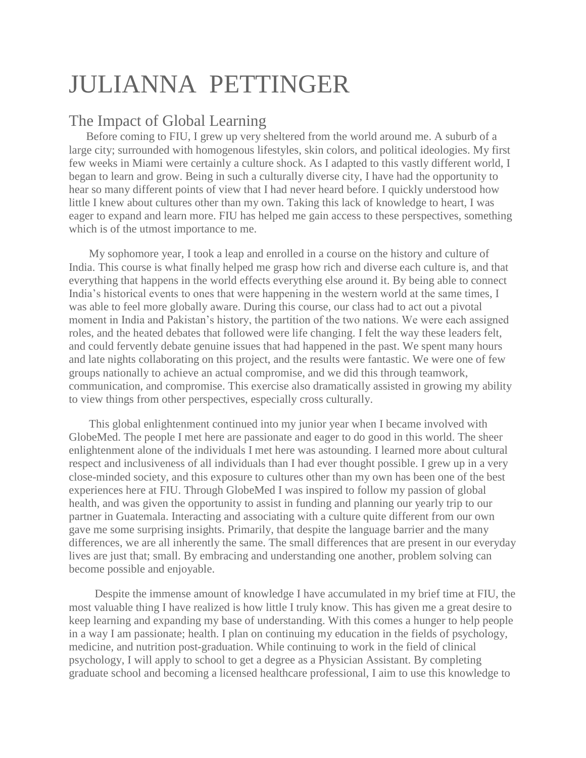## JULIANNA PETTINGER

## The Impact of Global Learning

 Before coming to FIU, I grew up very sheltered from the world around me. A suburb of a large city; surrounded with homogenous lifestyles, skin colors, and political ideologies. My first few weeks in Miami were certainly a culture shock. As I adapted to this vastly different world, I began to learn and grow. Being in such a culturally diverse city, I have had the opportunity to hear so many different points of view that I had never heard before. I quickly understood how little I knew about cultures other than my own. Taking this lack of knowledge to heart, I was eager to expand and learn more. FIU has helped me gain access to these perspectives, something which is of the utmost importance to me.

My sophomore year, I took a leap and enrolled in a course on the history and culture of India. This course is what finally helped me grasp how rich and diverse each culture is, and that everything that happens in the world effects everything else around it. By being able to connect India's historical events to ones that were happening in the western world at the same times, I was able to feel more globally aware. During this course, our class had to act out a pivotal moment in India and Pakistan's history, the partition of the two nations. We were each assigned roles, and the heated debates that followed were life changing. I felt the way these leaders felt, and could fervently debate genuine issues that had happened in the past. We spent many hours and late nights collaborating on this project, and the results were fantastic. We were one of few groups nationally to achieve an actual compromise, and we did this through teamwork, communication, and compromise. This exercise also dramatically assisted in growing my ability to view things from other perspectives, especially cross culturally.

This global enlightenment continued into my junior year when I became involved with GlobeMed. The people I met here are passionate and eager to do good in this world. The sheer enlightenment alone of the individuals I met here was astounding. I learned more about cultural respect and inclusiveness of all individuals than I had ever thought possible. I grew up in a very close-minded society, and this exposure to cultures other than my own has been one of the best experiences here at FIU. Through GlobeMed I was inspired to follow my passion of global health, and was given the opportunity to assist in funding and planning our yearly trip to our partner in Guatemala. Interacting and associating with a culture quite different from our own gave me some surprising insights. Primarily, that despite the language barrier and the many differences, we are all inherently the same. The small differences that are present in our everyday lives are just that; small. By embracing and understanding one another, problem solving can become possible and enjoyable.

Despite the immense amount of knowledge I have accumulated in my brief time at FIU, the most valuable thing I have realized is how little I truly know. This has given me a great desire to keep learning and expanding my base of understanding. With this comes a hunger to help people in a way I am passionate; health. I plan on continuing my education in the fields of psychology, medicine, and nutrition post-graduation. While continuing to work in the field of clinical psychology, I will apply to school to get a degree as a Physician Assistant. By completing graduate school and becoming a licensed healthcare professional, I aim to use this knowledge to